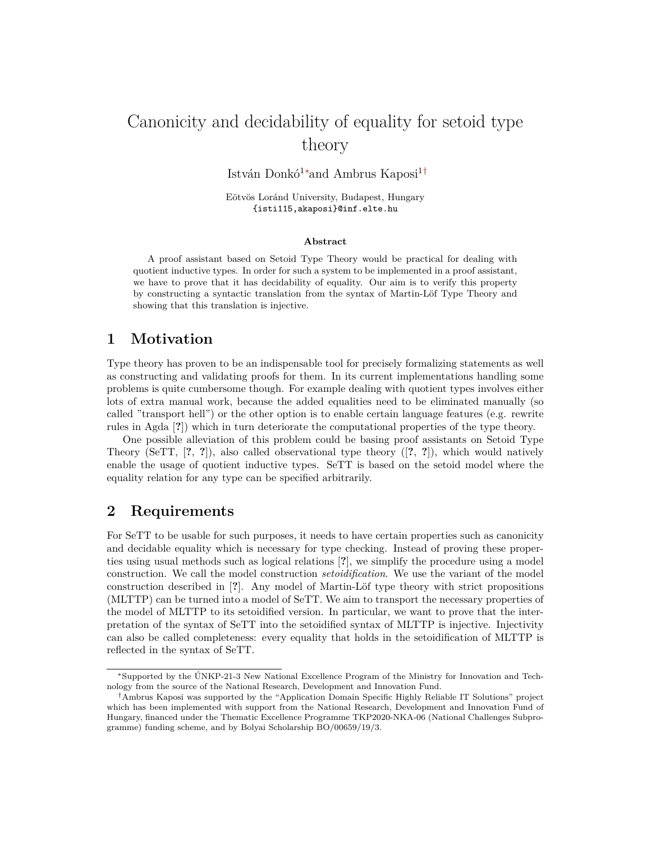# Canonicity and decidability of equality for setoid type theory

István Donkó<sup>1</sup>*∗*and Ambrus Kaposi<sup>1</sup>*†*

Eötvös Loránd University, Budapest, Hungary {isti115,akaposi}@inf.elte.hu

#### **Abstract**

A proof assistant based on Setoid Type Theory would be practical for dealing with quotient inductive types. In order for such a system to be implemented in a proof assistant, we have to prove that it has decidability of equality. Our aim is to verify this property by constructing a syntactic translation from the syntax of Martin-Löf Type Theory and showing that this translation is injective.

## **1 Motivation**

Type theory has proven to be an indispensable tool for precisely formalizing statements as well as constructing and validating proofs for them. In its current implementations handling some problems is quite cumbersome though. For example dealing with quotient types involves either lots of extra manual work, because the added equalities need to be eliminated manually (so called "transport hell") or the other option is to enable certain language features (e.g. rewrite rules in Agda [**?**]) which in turn deteriorate the computational properties of the type theory.

One possible alleviation of this problem could be basing proof assistants on Setoid Type Theory (SeTT, [**?**, **?**]), also called observational type theory ([**?**, **?**]), which would natively enable the usage of quotient inductive types. SeTT is based on the setoid model where the equality relation for any type can be specified arbitrarily.

#### **2 Requirements**

For SeTT to be usable for such purposes, it needs to have certain properties such as canonicity and decidable equality which is necessary for type checking. Instead of proving these properties using usual methods such as logical relations [**?**], we simplify the procedure using a model construction. We call the model construction *setoidification*. We use the variant of the model construction described in [**?**]. Any model of Martin-Löf type theory with strict propositions (MLTTP) can be turned into a model of SeTT. We aim to transport the necessary properties of the model of MLTTP to its setoidified version. In particular, we want to prove that the interpretation of the syntax of SeTT into the setoidified syntax of MLTTP is injective. Injectivity can also be called completeness: every equality that holds in the setoidification of MLTTP is reflected in the syntax of SeTT.

*<sup>∗</sup>*Supported by the ÚNKP-21-3 New National Excellence Program of the Ministry for Innovation and Technology from the source of the National Research, Development and Innovation Fund.

*<sup>†</sup>*Ambrus Kaposi was supported by the "Application Domain Specific Highly Reliable IT Solutions" project which has been implemented with support from the National Research, Development and Innovation Fund of Hungary, financed under the Thematic Excellence Programme TKP2020-NKA-06 (National Challenges Subprogramme) funding scheme, and by Bolyai Scholarship BO/00659/19/3.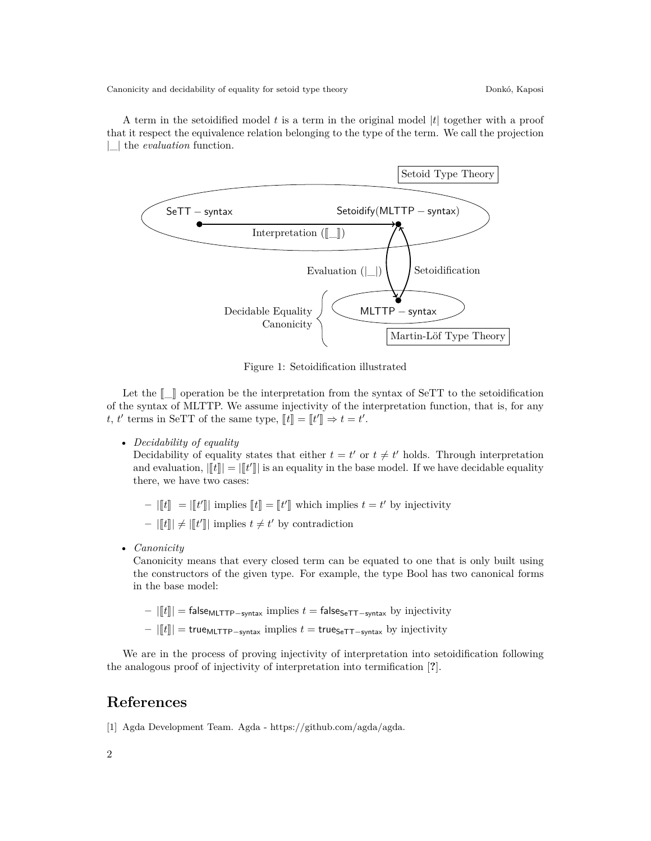Canonicity and decidability of equality for setoid type theory Donkó, Kaposi

A term in the setoidified model *t* is a term in the original model *|t|* together with a proof that it respect the equivalence relation belonging to the type of the term. We call the projection *|*\_*|* the *evaluation* function.



Figure 1: Setoidification illustrated

Let the  $\llbracket \quad \rbrack$  operation be the interpretation from the syntax of SeTT to the setoidification of the syntax of MLTTP. We assume injectivity of the interpretation function, that is, for any *t*, *t'* terms in SeTT of the same type,  $[[t]] = [[t']] \Rightarrow t = t'$ .

• *Decidability of equality*

Decidability of equality states that either  $t = t'$  or  $t \neq t'$  holds. Through interpretation and evaluation,  $||[t]|| = ||[t']||$  is an equality in the base model. If we have decidable equality there, we have two cases:

 $\|t\| = \|t'\|$  implies  $[t] = [t']$  which implies  $t = t'$  by injectivity

 $|[[t]] \neq |[[t']]|]$  implies  $t \neq t'$  by contradiction

• *Canonicity*

Canonicity means that every closed term can be equated to one that is only built using the constructors of the given type. For example, the type Bool has two canonical forms in the base model:

- **–** *<sup>|</sup>*J*t*K*<sup>|</sup>* <sup>=</sup> falseMLTTP*−*syntax implies *<sup>t</sup>* <sup>=</sup> falseSeTT*−*syntax by injectivity
- **–** *<sup>|</sup>*J*t*K*<sup>|</sup>* <sup>=</sup> trueMLTTP*−*syntax implies *<sup>t</sup>* <sup>=</sup> trueSeTT*−*syntax by injectivity

We are in the process of proving injectivity of interpretation into setoidification following the analogous proof of injectivity of interpretation into termification [**?**].

## **References**

[1] Agda Development Team. Agda - https://github.com/agda/agda.